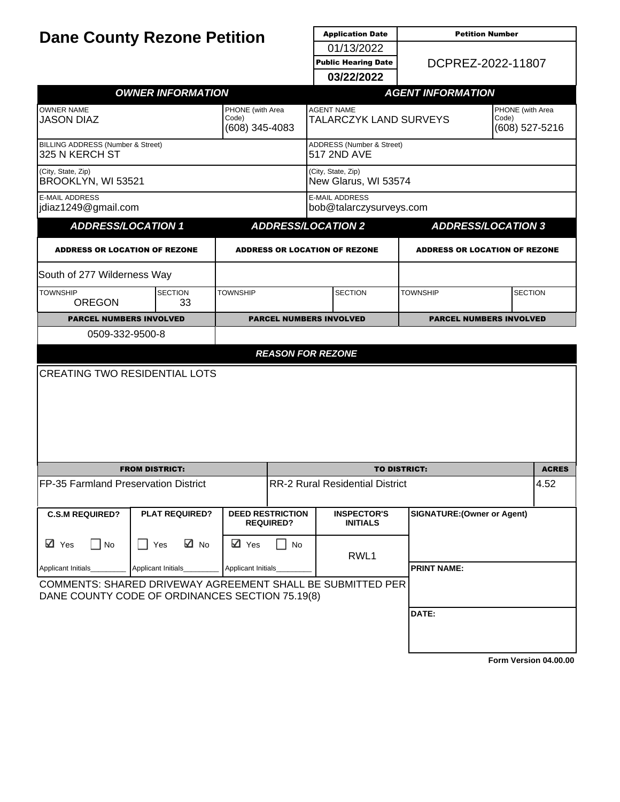| <b>Dane County Rezone Petition</b>                                                                            |                          |                                             |                                             | <b>Application Date</b>                             | <b>Petition Number</b>             |                                             |  |
|---------------------------------------------------------------------------------------------------------------|--------------------------|---------------------------------------------|---------------------------------------------|-----------------------------------------------------|------------------------------------|---------------------------------------------|--|
|                                                                                                               |                          |                                             |                                             | 01/13/2022                                          |                                    |                                             |  |
|                                                                                                               |                          |                                             |                                             | DCPREZ-2022-11807<br><b>Public Hearing Date</b>     |                                    |                                             |  |
|                                                                                                               |                          |                                             |                                             | 03/22/2022                                          |                                    |                                             |  |
|                                                                                                               | <b>OWNER INFORMATION</b> |                                             |                                             |                                                     | <b>AGENT INFORMATION</b>           |                                             |  |
| <b>OWNER NAME</b><br><b>JASON DIAZ</b>                                                                        |                          | PHONE (with Area<br>Code)<br>(608) 345-4083 |                                             | <b>AGENT NAME</b><br>TALARCZYK LAND SURVEYS         |                                    | PHONE (with Area<br>Code)<br>(608) 527-5216 |  |
| BILLING ADDRESS (Number & Street)<br>325 N KERCH ST                                                           |                          |                                             |                                             | <b>ADDRESS (Number &amp; Street)</b><br>517 2ND AVE |                                    |                                             |  |
| (City, State, Zip)<br>BROOKLYN, WI 53521                                                                      |                          |                                             |                                             | (City, State, Zip)<br>New Glarus, WI 53574          |                                    |                                             |  |
| <b>E-MAIL ADDRESS</b><br>jdiaz1249@gmail.com                                                                  |                          |                                             |                                             | <b>E-MAIL ADDRESS</b><br>bob@talarczysurveys.com    |                                    |                                             |  |
| <b>ADDRESS/LOCATION 1</b>                                                                                     |                          |                                             |                                             | <b>ADDRESS/LOCATION 2</b>                           |                                    | <b>ADDRESS/LOCATION 3</b>                   |  |
| <b>ADDRESS OR LOCATION OF REZONE</b>                                                                          |                          |                                             |                                             | <b>ADDRESS OR LOCATION OF REZONE</b>                |                                    | <b>ADDRESS OR LOCATION OF REZONE</b>        |  |
| South of 277 Wilderness Way                                                                                   |                          |                                             |                                             |                                                     |                                    |                                             |  |
| <b>TOWNSHIP</b><br><b>OREGON</b>                                                                              | <b>SECTION</b><br>33     | <b>TOWNSHIP</b>                             | <b>SECTION</b>                              |                                                     | <b>TOWNSHIP</b>                    | <b>SECTION</b>                              |  |
| <b>PARCEL NUMBERS INVOLVED</b>                                                                                |                          |                                             |                                             | <b>PARCEL NUMBERS INVOLVED</b>                      |                                    | <b>PARCEL NUMBERS INVOLVED</b>              |  |
| 0509-332-9500-8                                                                                               |                          |                                             |                                             |                                                     |                                    |                                             |  |
|                                                                                                               |                          |                                             | <b>REASON FOR REZONE</b>                    |                                                     |                                    |                                             |  |
| <b>CREATING TWO RESIDENTIAL LOTS</b>                                                                          |                          |                                             |                                             |                                                     |                                    |                                             |  |
|                                                                                                               |                          |                                             |                                             |                                                     |                                    |                                             |  |
|                                                                                                               |                          |                                             |                                             |                                                     |                                    |                                             |  |
|                                                                                                               | <b>FROM DISTRICT:</b>    |                                             |                                             |                                                     | <b>TO DISTRICT:</b>                | <b>ACRES</b>                                |  |
| FP-35 Farmland Preservation District                                                                          |                          |                                             | <b>RR-2 Rural Residential District</b>      |                                                     |                                    | 4.52                                        |  |
| <b>C.S.M REQUIRED?</b>                                                                                        | <b>PLAT REQUIRED?</b>    |                                             | <b>DEED RESTRICTION</b><br><b>REQUIRED?</b> | <b>INSPECTOR'S</b><br><b>INITIALS</b>               | <b>SIGNATURE: (Owner or Agent)</b> |                                             |  |
| ⊠ Yes<br>$\Box$ No                                                                                            | ⊠ No<br>$\Box$ Yes       | <b>⊡</b> Yes                                | No                                          | RWL1                                                |                                    |                                             |  |
| Applicant Initials_<br>Applicant Initials<br>Applicant Initials                                               |                          |                                             |                                             |                                                     | <b>PRINT NAME:</b>                 |                                             |  |
| COMMENTS: SHARED DRIVEWAY AGREEMENT SHALL BE SUBMITTED PER<br>DANE COUNTY CODE OF ORDINANCES SECTION 75.19(8) |                          |                                             |                                             |                                                     |                                    |                                             |  |
|                                                                                                               |                          |                                             |                                             |                                                     | DATE:                              |                                             |  |
|                                                                                                               |                          |                                             |                                             |                                                     |                                    |                                             |  |
|                                                                                                               |                          |                                             |                                             |                                                     |                                    |                                             |  |

**[Form Version 04.00.00](http://sql2008-reports/Reports/Pages/Resource.aspx?ItemPath=%2fDocumentation%2fReport+Index.docx)**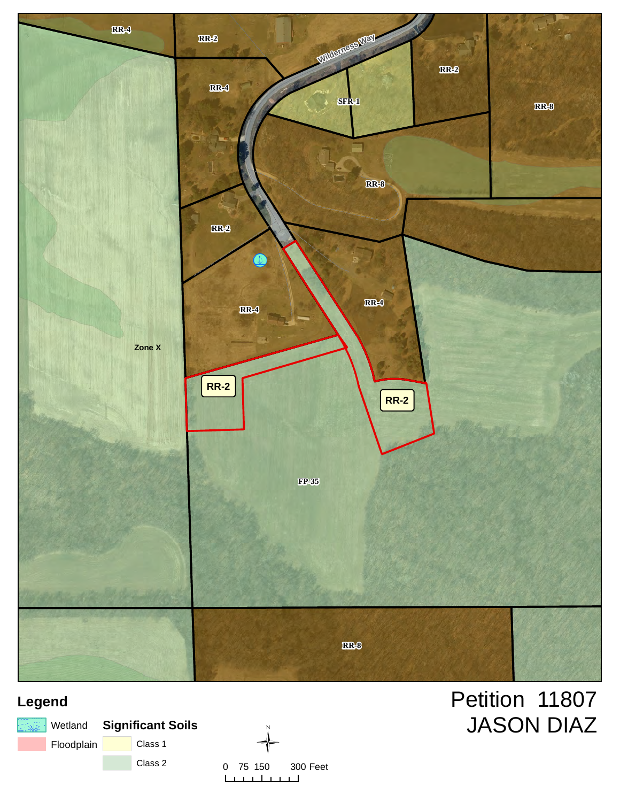

### **Legend**





### Petition 11807 JASON DIAZ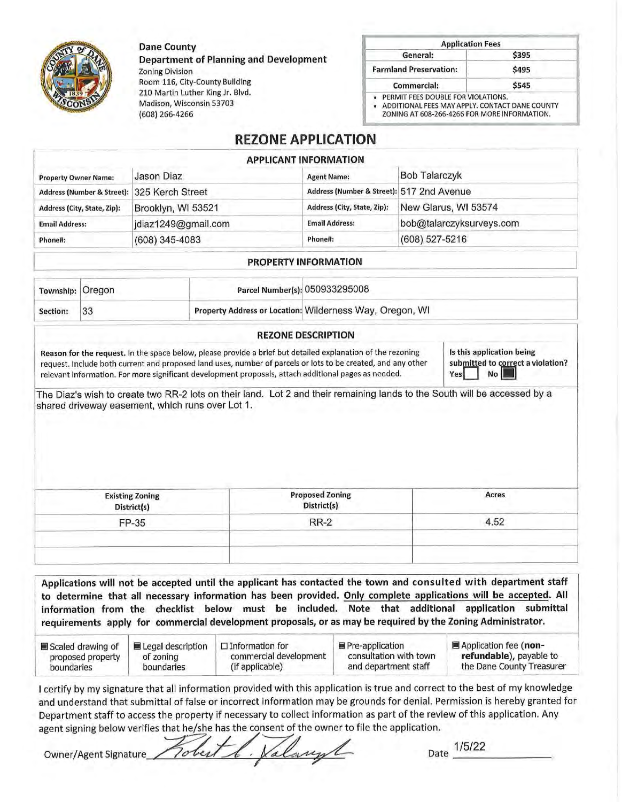**Dane County** 

**Department of Planning and Development Zoning Division** 

Room 116, City-County Building 210 Martin Luther King Jr. Blvd. Madison, Wisconsin 53703 (608) 266-4266

| <b>Application Fees</b>                                                                                                              |       |
|--------------------------------------------------------------------------------------------------------------------------------------|-------|
| General:                                                                                                                             | \$395 |
| <b>Farmland Preservation:</b>                                                                                                        | \$495 |
| <b>Commercial:</b>                                                                                                                   | \$545 |
| PERMIT FEES DOUBLE FOR VIOLATIONS.<br>ADDITIONAL FEES MAY APPLY, CONTACT DANE COUNTY<br>ZONING AT 608-266-4266 FOR MORE INFORMATION. |       |

#### **REZONE APPLICATION**

|                                             |                     | <b>APPLICANT INFORMATION</b>              |                          |  |
|---------------------------------------------|---------------------|-------------------------------------------|--------------------------|--|
| <b>Property Owner Name:</b>                 | Jason Diaz          | <b>Agent Name:</b>                        | <b>Bob Talarczyk</b>     |  |
| Address (Number & Street): 325 Kerch Street |                     | Address (Number & Street): 517 2nd Avenue |                          |  |
| Address (City, State, Zip):                 | Brooklyn, WI 53521  | Address (City, State, Zip):               | New Glarus, WI 53574     |  |
| <b>Email Address:</b>                       | jdiaz1249@gmail.com | <b>Email Address:</b>                     | bob@talarczyksurveys.com |  |
| Phone#:                                     | $(608)$ 345-4083    | Phone#:                                   | (608) 527-5216           |  |

#### **PROPERTY INFORMATION**

| Township: Oregon |  | Parcel Number(s): 050933295008                           |  |
|------------------|--|----------------------------------------------------------|--|
| Section:         |  | Property Address or Location: Wilderness Way, Oregon, WI |  |

#### **REZONE DESCRIPTION**

Reason for the request. In the space below, please provide a brief but detailed explanation of the rezoning request. Include both current and proposed land uses, number of parcels or lots to be created, and any other relevant information. For more significant development proposals, attach additional pages as needed.

Is this application being submitted to correct a violation? Yes No **I** 

The Diaz's wish to create two RR-2 lots on their land. Lot 2 and their remaining lands to the South will be accessed by a shared driveway easement, which runs over Lot 1.

| <b>Proposed Zoning</b><br>District(s) | Acres |
|---------------------------------------|-------|
| <b>RR-2</b>                           | 4.52  |
|                                       |       |
|                                       |       |
|                                       |       |

Applications will not be accepted until the applicant has contacted the town and consulted with department staff to determine that all necessary information has been provided. Only complete applications will be accepted. All information from the checklist below must be included. Note that additional application submittal requirements apply for commercial development proposals, or as may be required by the Zoning Administrator.

| Scaled drawing of | ■ Legal description | $\Box$ Information for | ■ Pre-application      | ■ Application fee (non-   |
|-------------------|---------------------|------------------------|------------------------|---------------------------|
| proposed property | of zoning           | commercial development | consultation with town | refundable), payable to   |
| boundaries        | boundaries          | (if applicable)        | and department staff   | the Dane County Treasurer |

I certify by my signature that all information provided with this application is true and correct to the best of my knowledge and understand that submittal of false or incorrect information may be grounds for denial. Permission is hereby granted for Department staff to access the property if necessary to collect information as part of the review of this application. Any agent signing below verifies that he/she has the consent of the owner to file the application.

alanyl **Owner/Agent Signature** 

Date 1/5/22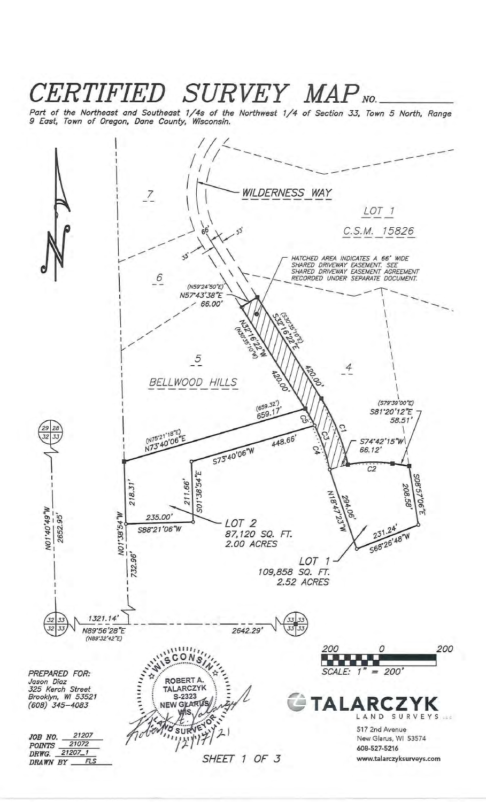### CERTIFIED SURVEY MAP NO.

Part of the Northeast and Southeast 1/4s of the Northwest 1/4 of Section 33, Town 5 North, Range 9 East, Town of Oregon, Dane County, Wisconsin.

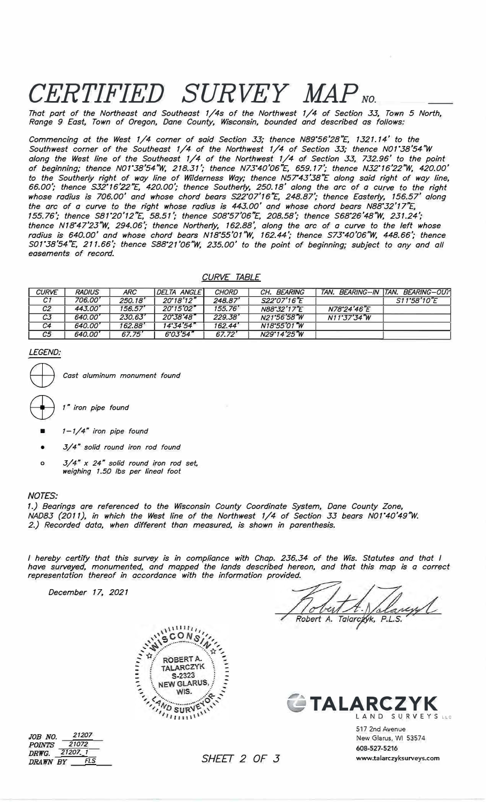# $CERTIFIED$  *SURVEY MAP*  $_{NO}$

*That part of the Northeast and Southeast 1/4s of the Northwest 1/4 of Section 33, Town 5 North, Range 9 East, Town of Oregon, Dane County, Wisconsin, bounded and described as follows:* 

*Commencing at the West 1/4 corner of said Section 33; thence N89° 56'28"£, 1321.14' to the Southwest corner of the Southeast 1/4 of the Northwest 1/4 of Section 33; thence N01° 38'54 <sup>n</sup> W along the West line of the Southeast 1/4 of the Northwest 1/4 of Section 33, 732.96' to the point of beginning; thence N01°38'54'W, 218.31* '; *thence N73° 40'06 <sup>n</sup> £, 659.17'; thence N32° 16'22'W, 420.00' to the Southerly right of way line of Wilderness Way; thence N57°43'38"E along said right of way line, 66.00'; thence S32° 16'22 <sup>n</sup> £, 420.00'; thence Southerly, 250.18' along the arc of a cu<sup>r</sup>ve to the right whose radius is 706.00' and whose chord bears S22° 07'16"£, 248.87'; thence Easterly, 156.57' along the arc of a curve to the right whose radius is 443.00' and whose chord bears N88° <sup>32</sup>'1 rE,*  155.76; thence S81'20'12"E, 58.51; thence S08'57'06"E, 208.58; thence S68'26'48"W, 231.24; *thence N18° 47'23'W, 294.06'; thence Northerly, 162.88<sup>1</sup> , along the arc of a curve to the left whose radius is 640.00' and whose chord bears N18°55'01'W, 162.44'; thence S73° 40'06'W, 448.66'; thence S01° 38'54"£, 211.66'; thence S88° 21 '06'W, 235.00' to the point of beginning; subject to any and all easements of record.* 

#### *CURVE TABLE*

| <b>CURVE</b>   | <b>RADIUS</b> | <b>ARC</b> | DELTA ANGLE         | CHORD   | CH. BEARING |             | TAN. BEARING-IN TAN. BEARING-OUT |
|----------------|---------------|------------|---------------------|---------|-------------|-------------|----------------------------------|
| C1             | 706.00'       | 250.18'    | $20^{\circ}18'12''$ | 248.87' | S22°07'16"F |             | $S11^{\circ}58'10''E$            |
| C <sub>2</sub> | 443.00'       | 156.57'    | $20^{\circ}15'02''$ | 155.76' | N88°32'17"E | N78°24'46"E |                                  |
| C3             | 640.00'       | 230.63'    | 20°38'48"           | 229.38' | N21°56'58°W | N11°37'34"W |                                  |
| C4             | 640.00'       | 162.88'    | 14.34'54''          | 162.44' | N18°55'01"W |             |                                  |
| C5             | 640.00'       | 67.75'     | 6°03'54"            | 67.72'  | N29'14'25"W |             |                                  |

#### *LEGEND:*

- Cast aluminum monument found
- ffi *1" iron pipe found*
- *1-1/4" iron pipe found*
- *3/4" solid round iron rod found*
- **o** J/ *4" x 24" solid round iron rod set, weighing 1.50 lbs per lineal foot*

#### *NOTES:*

*1.) Bearings are referenced to the Wisconsin County Coordinate System, Dane County Zone, NAD83 (2011), in which the West line of the Northwest 1/4 of Section 33 bears N01° 40'49"W. 2.) Recorded data, when different than measured, is shown in parenthesis.* 

*I hereby certify that this survey is in compliance with Chap. 236.34 of the Wis. Statutes and that I have surveyed, monumented, and mapped the lands described hereon, and that this map is a correct representation thereof in accordance with the information provided.* 

*December 17, 2021* 

anyl Robert A. Talarceyk, P.L.S.





517 2nd Avenue New Glarus, WI 53574 **608-527-5216 www.talarczyksurveys.com** 

*JOB NO. 21207 POINTS 21072 DRWG. 21201 1*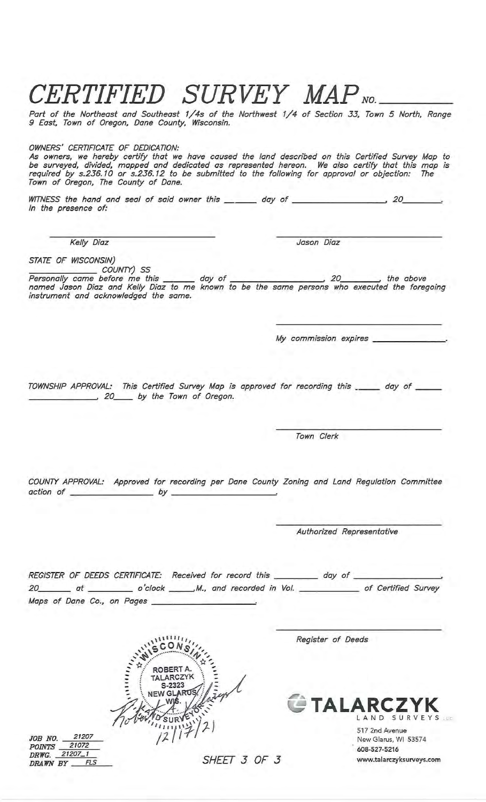## CERTIFIED SURVEY MAP NO.

Part of the Northeast and Southeast 1/4s of the Northwest 1/4 of Section 33, Town 5 North, Range 9 East, Town of Oregon, Dane County, Wisconsin.

#### OWNERS' CERTIFICATE OF DEDICATION:

As owners, we hereby certify that we have caused the land described on this Certified Survey Map to<br>be surveyed, divided, mapped and dedicated as represented hereon. We also certify that this map is<br>required by s.236.10 or Town of Oregon, The County of Dane.

In the presence of:

**Kelly Diaz** 

Jason Diaz

STATE OF WISCONSIN)

My commission expires \_\_\_\_\_\_\_\_\_\_\_

TOWNSHIP APPROVAL: This Certified Survey Map is approved for recording this \_\_\_\_\_ day of \_\_ 20 by the Town of Oregon.

Town Clerk

COUNTY APPROVAL: Approved for recording per Dane County Zoning and Land Regulation Committee action of \_\_\_\_\_\_  $by$ 

Authorized Representative

REGISTER OF DEEDS CERTIFICATE: Received for record this \_\_\_\_\_\_\_\_\_\_ day of \_\_ 20\_\_\_\_\_\_\_ at \_\_\_\_\_\_\_\_\_\_ o'clock \_\_\_\_\_\_M., and recorded in Vol. \_\_\_\_\_\_\_\_\_\_\_\_\_ of Certified Survey Maps of Dane Co., on Pages \_

> **ROBERT A** ARCZYK S-2323 V GL

Register of Deeds



517 2nd Avenue New Glarus, WI 53574 608-527-5216 www.talarczyksurveys.com

*JOB NO.* 21207<br> *POINTS* 21072<br> *DRWG.* 21207\_1<br> *DRAWN BY* FLS

SHEET 3 OF 3